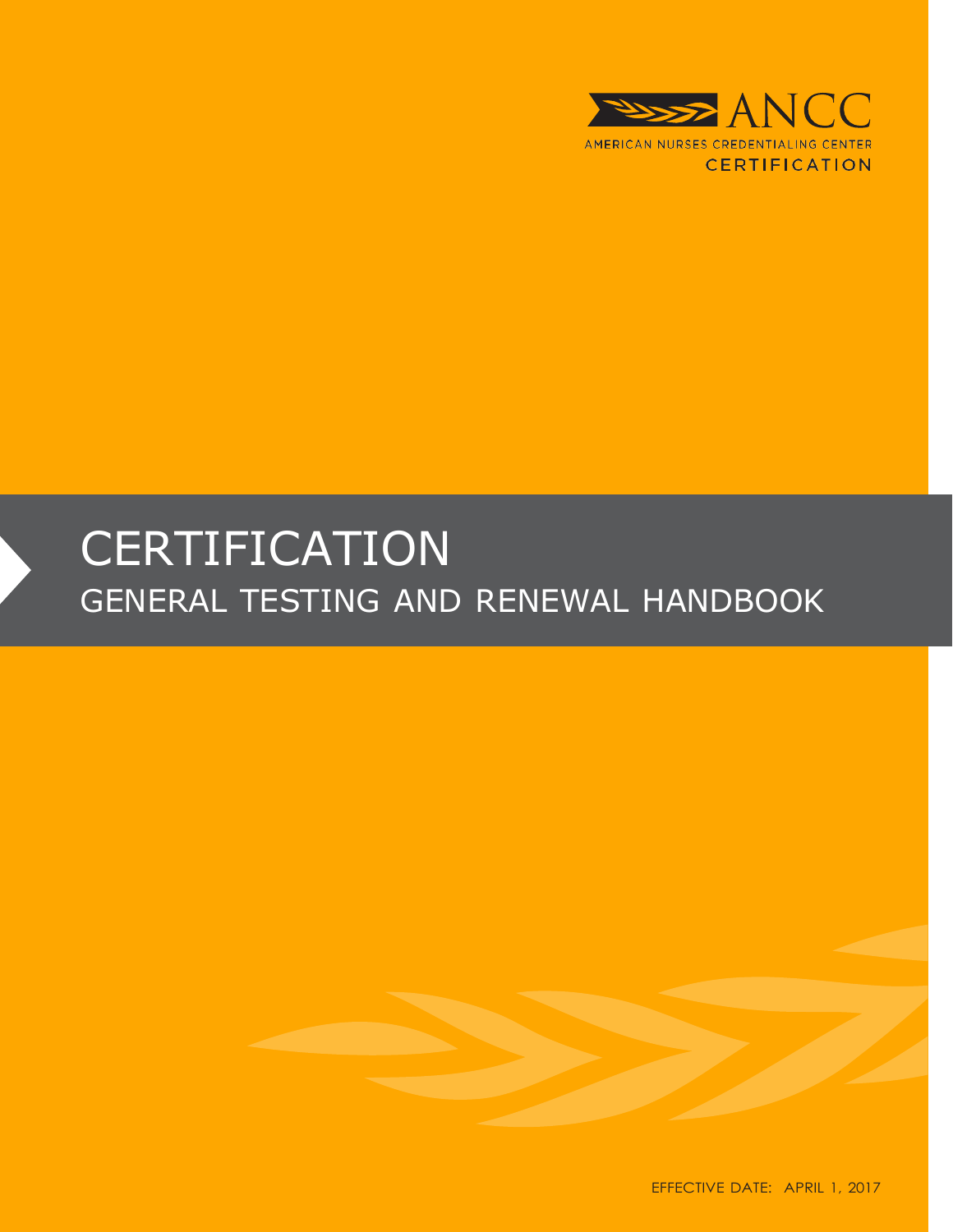

# **CERTIFICATION** GENERAL TESTING AND RENEWAL HANDBOOK



EFFECTIVE DATE: APRIL 1, 2017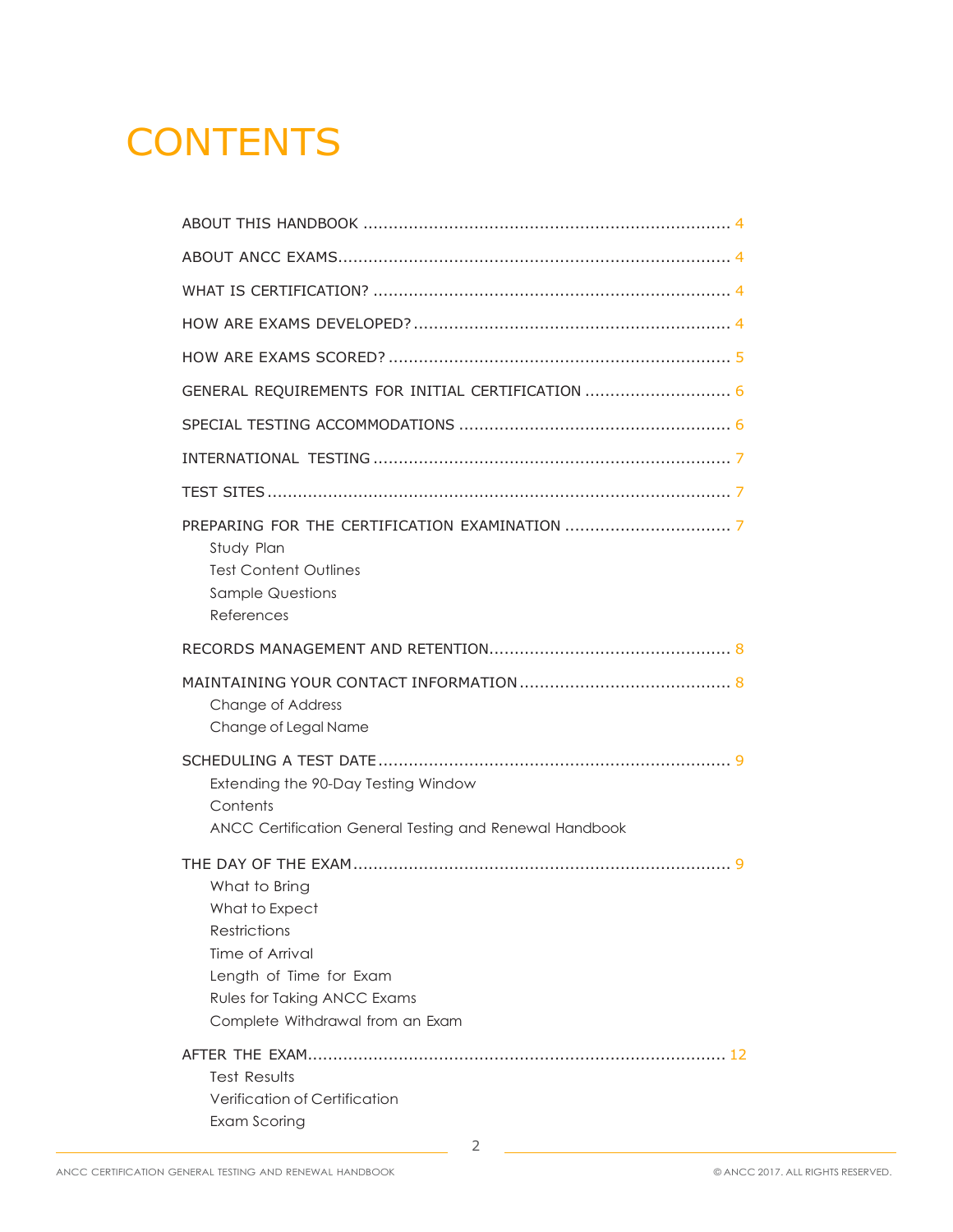# **CONTENTS**

| GENERAL REQUIREMENTS FOR INITIAL CERTIFICATION  6                                                                                                                       |
|-------------------------------------------------------------------------------------------------------------------------------------------------------------------------|
|                                                                                                                                                                         |
|                                                                                                                                                                         |
|                                                                                                                                                                         |
| Study Plan<br><b>Test Content Outlines</b><br><b>Sample Questions</b><br>References                                                                                     |
|                                                                                                                                                                         |
| Change of Address<br>Change of Legal Name                                                                                                                               |
| Extending the 90-Day Testing Window<br>Contents<br>ANCC Certification General Testing and Renewal Handbook                                                              |
| What to Bring<br>What to Expect<br><b>Restrictions</b><br>Time of Arrival<br>Length of Time for Exam<br>Rules for Taking ANCC Exams<br>Complete Withdrawal from an Exam |
|                                                                                                                                                                         |
| <b>Test Results</b><br>Verification of Certification<br>Exam Scoring                                                                                                    |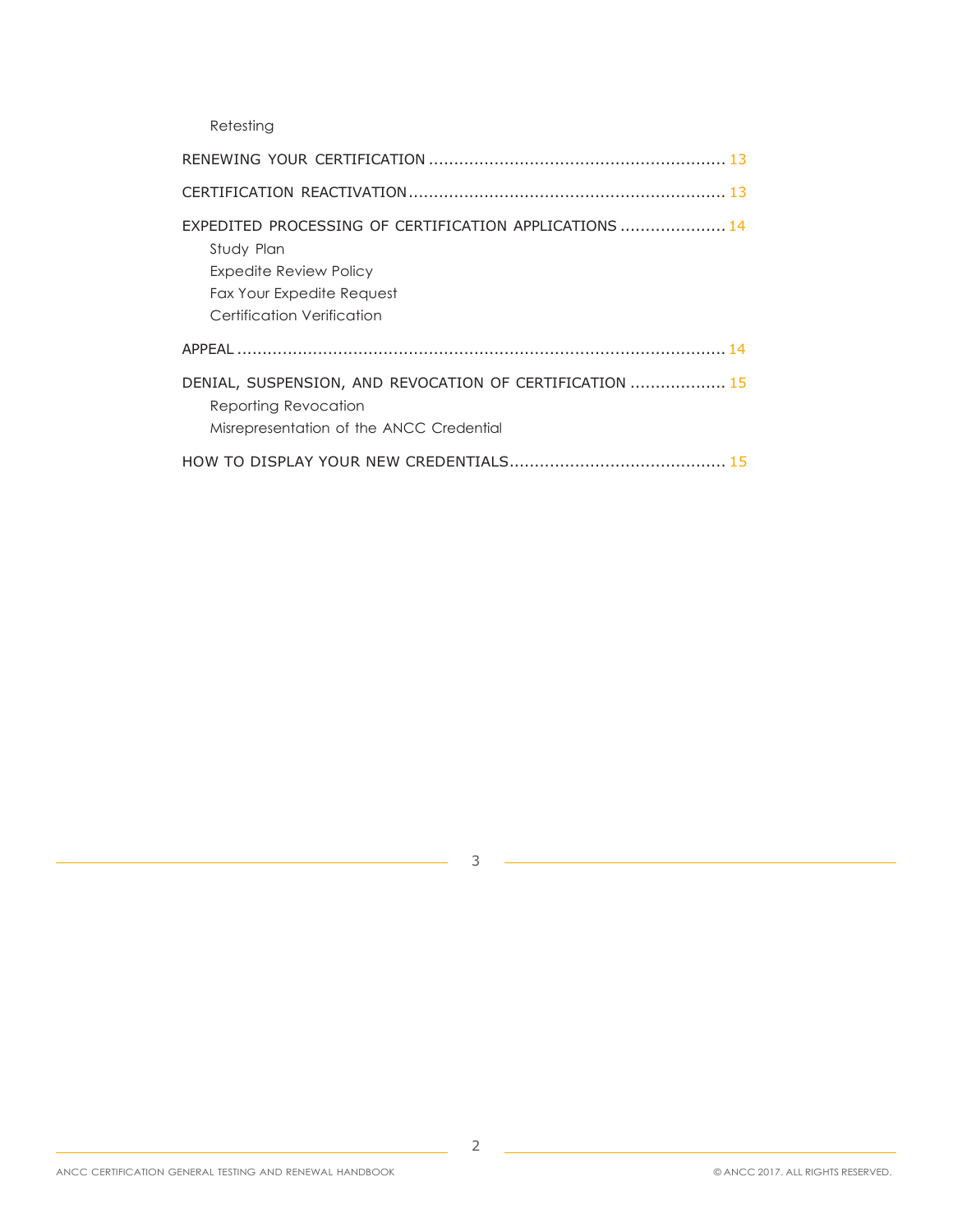Retesting

| EXPEDITED PROCESSING OF CERTIFICATION APPLICATIONS  14<br>Study Plan<br>Expedite Review Policy<br>Fax Your Expedite Request<br>Certification Verification |
|-----------------------------------------------------------------------------------------------------------------------------------------------------------|
|                                                                                                                                                           |
| DENIAL, SUSPENSION, AND REVOCATION OF CERTIFICATION  15<br>Reporting Revocation<br>Misrepresentation of the ANCC Credential                               |
|                                                                                                                                                           |

3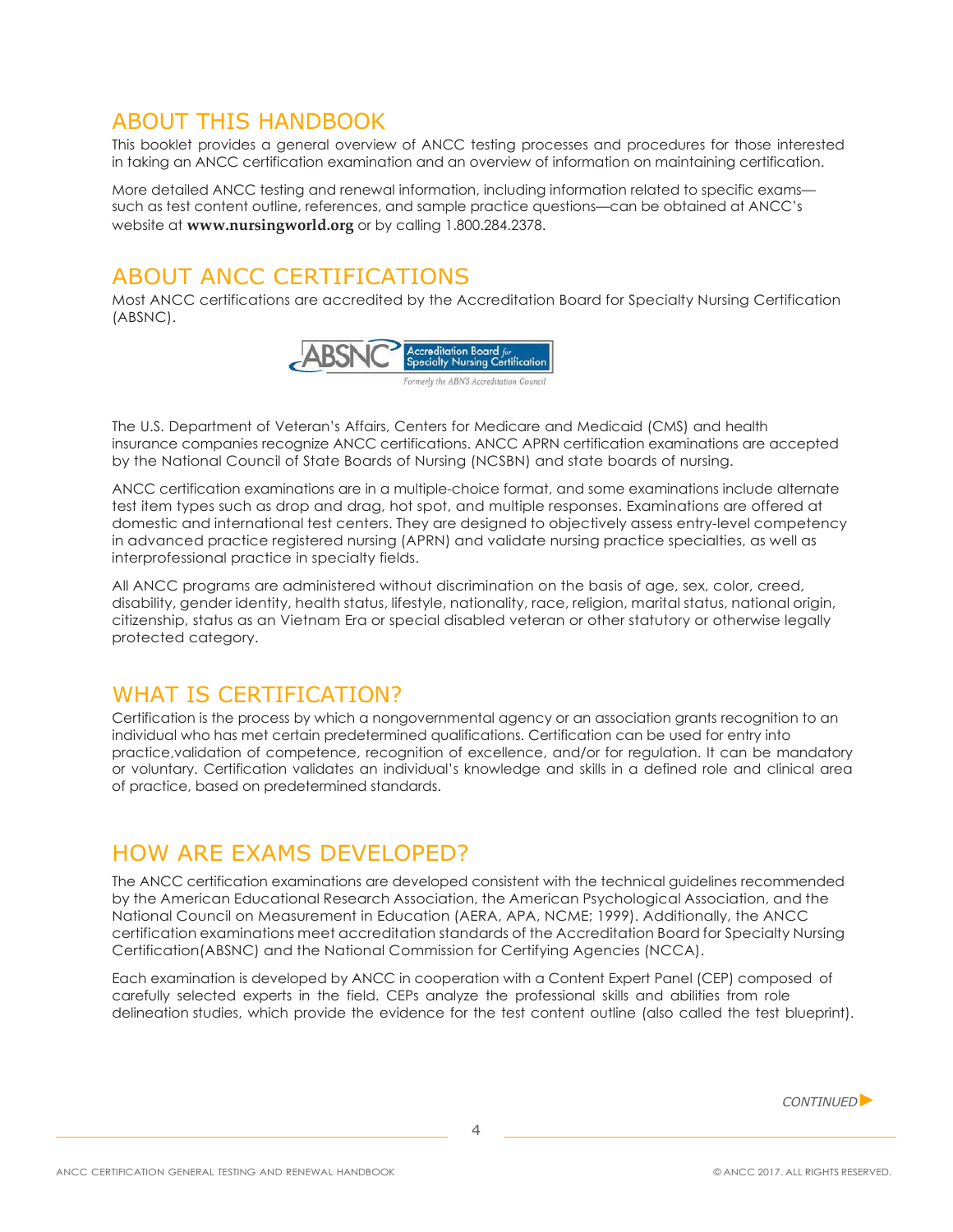### <span id="page-3-0"></span>ABOUT THIS HANDBOOK

This booklet provides a general overview of ANCC testing processes and procedures for those interested in taking an ANCC certification examination and an overview of information on maintaining certification.

More detailed ANCC testing and renewal information, including information related to specific exams such as test content outline, references, and sample practice questions—can be obtained at ANCC's website at **[www.nursingworld.org](http://www.nursingworld.org/)** or by calling 1.800.284.2378.

# <span id="page-3-1"></span>ABOUT ANCC CERTIFICATIONS

Most ANCC certifications are accredited by the Accreditation Board for Specialty Nursing Certification (ABSNC).



The U.S. Department of Veteran's Affairs, Centers for Medicare and Medicaid (CMS) and health insurance companies recognize ANCC certifications. ANCC APRN certification examinations are accepted by the National Council of State Boards of Nursing (NCSBN) and state boards of nursing.

ANCC certification examinations are in a multiple-choice format, and some examinations include alternate test item types such as drop and drag, hot spot, and multiple responses. Examinations are offered at domestic and international test centers. They are designed to objectively assess entry-level competency in advanced practice registered nursing (APRN) and validate nursing practice specialties, as well as interprofessional practice in specialty fields.

All ANCC programs are administered without discrimination on the basis of age, sex, color, creed, disability, gender identity, health status, lifestyle, nationality, race, religion, marital status, national origin, citizenship, status as an Vietnam Era or special disabled veteran or other statutory or otherwise legally protected category.

# <span id="page-3-2"></span>WHAT IS CERTIFICATION?

Certification is the process by which a nongovernmental agency or an association grants recognition to an individual who has met certain predetermined qualifications. Certification can be used for entry into practice,validation of competence, recognition of excellence, and/or for regulation. It can be mandatory or voluntary. Certification validates an individual's knowledge and skills in a defined role and clinical area of practice, based on predetermined standards.

# <span id="page-3-3"></span>HOW ARE EXAMS DEVELOPED?

The ANCC certification examinations are developed consistent with the technical guidelines recommended by the American Educational Research Association, the American Psychological Association, and the National Council on Measurement in Education (AERA, APA, NCME; 1999). Additionally, the ANCC certification examinations meet accreditation standards of the Accreditation Board for Specialty Nursing Certification(ABSNC) and the National Commission for Certifying Agencies (NCCA).

Each examination is developed by ANCC in cooperation with a Content Expert Panel (CEP) composed of carefully selected experts in the field. CEPs analyze the professional skills and abilities from role delineation studies, which provide the evidence for the test content outline (also called the test blueprint).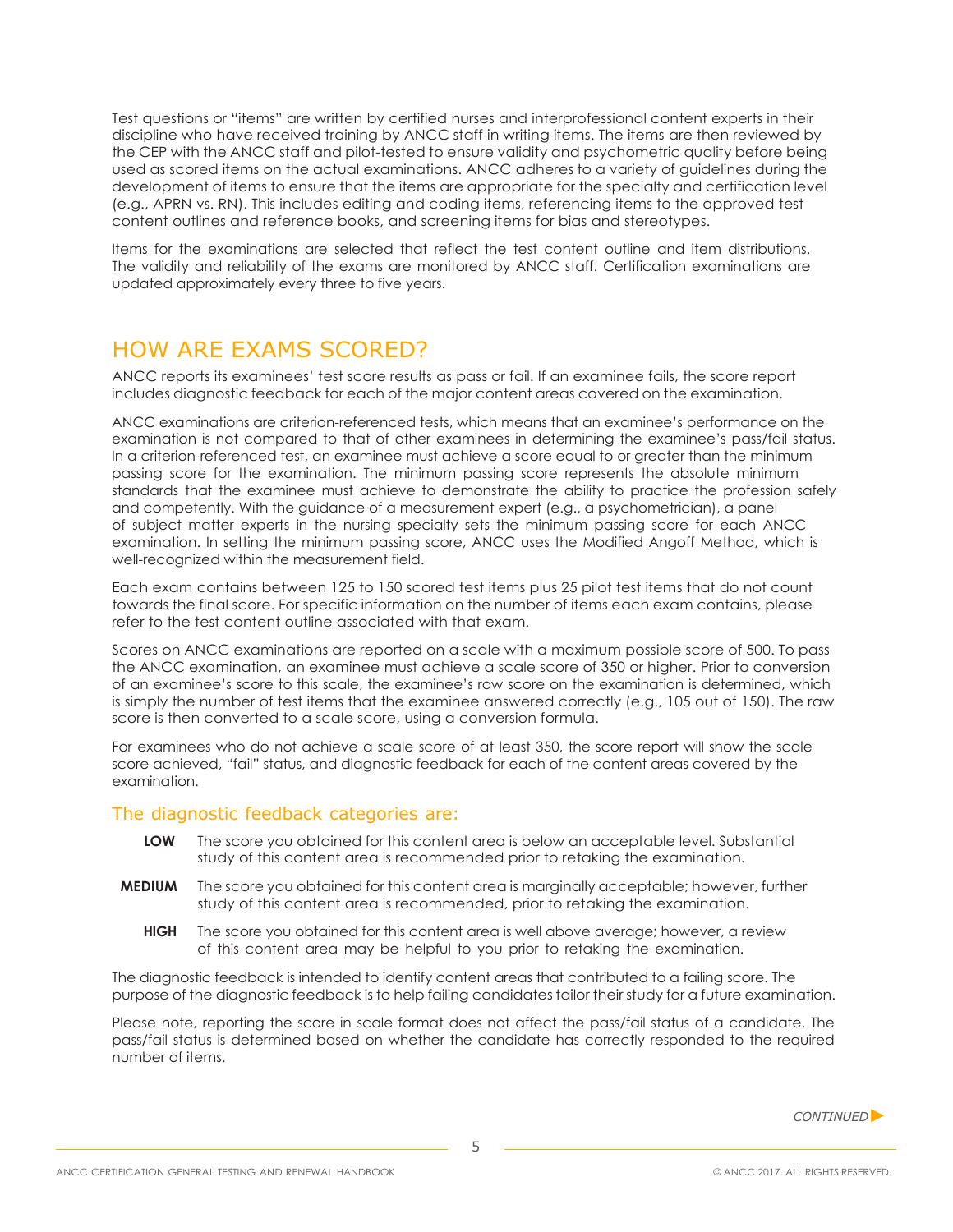Test questions or "items" are written by certified nurses and interprofessional content experts in their discipline who have received training by ANCC staff in writing items. The items are then reviewed by the CEP with the ANCC staff and pilot-tested to ensure validity and psychometric quality before being used as scored items on the actual examinations. ANCC adheres to a variety of guidelines during the development of items to ensure that the items are appropriate for the specialty and certification level (e.g., APRN vs. RN). This includes editing and coding items, referencing items to the approved test content outlines and reference books, and screening items for bias and stereotypes.

Items for the examinations are selected that reflect the test content outline and item distributions. The validity and reliability of the exams are monitored by ANCC staff. Certification examinations are updated approximately every three to five years.

# <span id="page-4-0"></span>HOW ARE EXAMS SCORED?

ANCC reports its examinees' test score results as pass or fail. If an examinee fails, the score report includes diagnostic feedback for each of the major content areas covered on the examination.

ANCC examinations are criterion-referenced tests, which means that an examinee's performance on the examination is not compared to that of other examinees in determining the examinee's pass/fail status. In a criterion-referenced test, an examinee must achieve a score equal to or greater than the minimum passing score for the examination. The minimum passing score represents the absolute minimum standards that the examinee must achieve to demonstrate the ability to practice the profession safely and competently. With the guidance of a measurement expert (e.g., a psychometrician), a panel of subject matter experts in the nursing specialty sets the minimum passing score for each ANCC examination. In setting the minimum passing score, ANCC uses the Modified Angoff Method, which is well-recognized within the measurement field.

Each exam contains between 125 to 150 scored test items plus 25 pilot test items that do not count towards the final score. For specific information on the number of items each exam contains, please refer to the test content outline associated with that exam.

Scores on ANCC examinations are reported on a scale with a maximum possible score of 500. To pass the ANCC examination, an examinee must achieve a scale score of 350 or higher. Prior to conversion of an examinee's score to this scale, the examinee's raw score on the examination is determined, which is simply the number of test items that the examinee answered correctly (e.g., 105 out of 150). The raw score is then converted to a scale score, using a conversion formula.

For examinees who do not achieve a scale score of at least 350, the score report will show the scale score achieved, "fail" status, and diagnostic feedback for each of the content areas covered by the examination.

#### The diagnostic feedback categories are:

- **LOW** The score you obtained for this content area is below an acceptable level. Substantial study of this content area is recommended prior to retaking the examination.
- **MEDIUM** The score you obtained for this content area is marginally acceptable; however, further study of this content area is recommended, prior to retaking the examination.
	- **HIGH** The score you obtained for this content area is well above average; however, a review of this content area may be helpful to you prior to retaking the examination.

The diagnostic feedback is intended to identify content areas that contributed to a failing score. The purpose of the diagnostic feedback is to help failing candidates tailor their study for a future examination.

Please note, reporting the score in scale format does not affect the pass/fail status of a candidate. The pass/fail status is determined based on whether the candidate has correctly responded to the required number of items.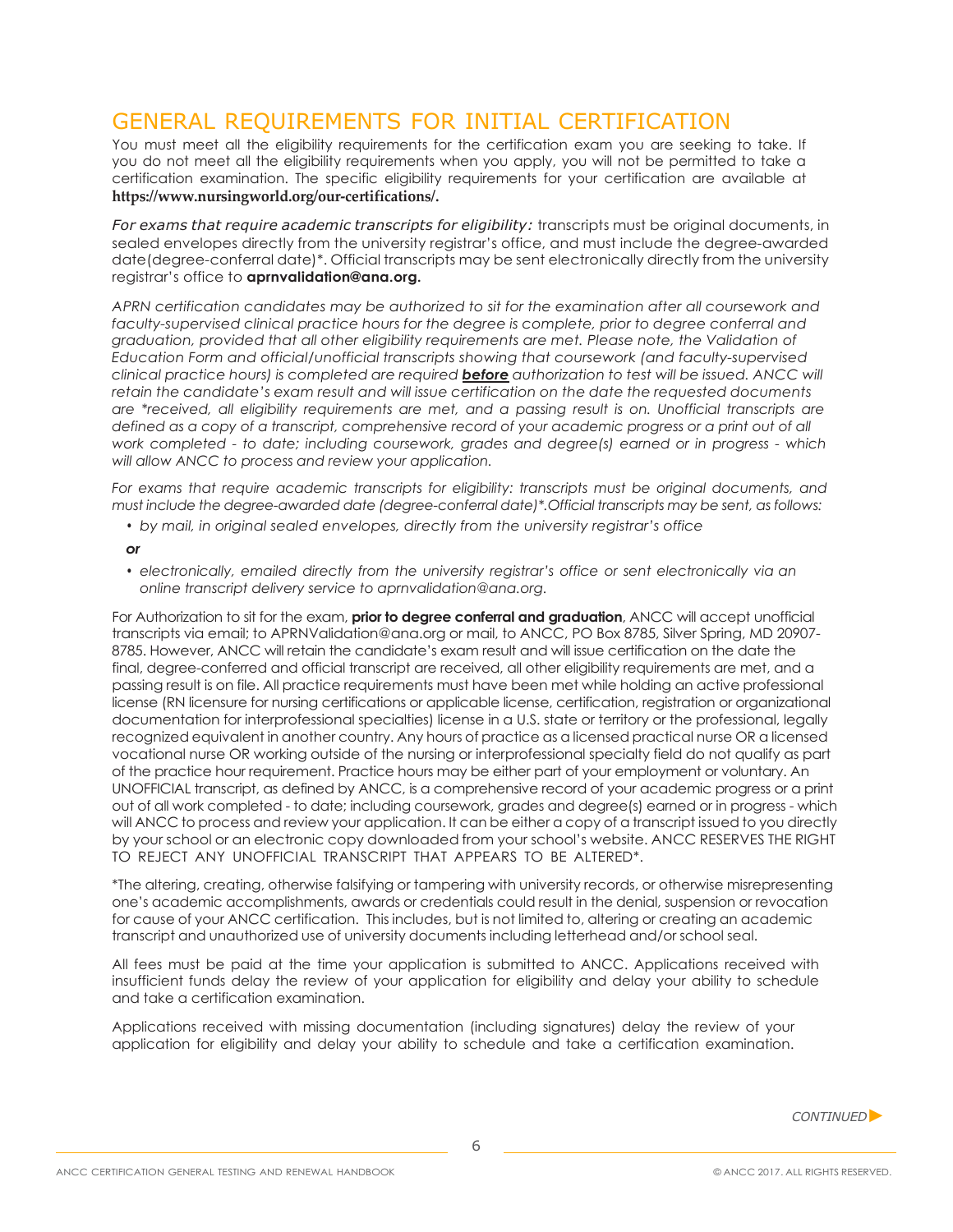# <span id="page-5-0"></span>GENERAL REQUIREMENTS FOR INITIAL CERTIFICATION

You must meet all the eligibility requirements for the certification exam you are seeking to take. If you do not meet all the eligibility requirements when you apply, you will not be permitted to take a certification examination. The specific eligibility requirements for your certification are available at **<https://www.nursingworld.org/our-certifications/>.**

*For exams that require academic transcripts for eligibility:* transcripts must be original documents, in sealed envelopes directly from the university registrar's office, and must include the degree-awarded date(degree-conferral date)\*. Official transcripts may be sent electronically directly from the university registrar's office to **[aprnvalidation@ana.org.](mailto:aprnvalidation@ana.org)**

*APRN certification candidates may be authorized to sit for the examination after all coursework and faculty-supervised clinical practice hours for the degree is complete, prior to degree conferral and graduation, provided that all other eligibility requirements are met. Please note, the Validation of Education Form and official/unofficial transcripts showing that coursework (and faculty-supervised clinical practice hours) is completed are required before authorization to test will be issued. ANCC will retain the candidate's exam result and will issue certification on the date the requested documents are \*received, all eligibility requirements are met, and a passing result is on. Unofficial transcripts are defined as a copy of a transcript, comprehensive record of your academic progress or a print out of all work completed - to date; including coursework, grades and degree(s) earned or in progress - which will allow ANCC to process and review your application.*

*For exams that require academic transcripts for eligibility: transcripts must be original documents, and must include the degree-awarded date (degree-conferral date)\*.Official transcripts may be sent, as follows:*

*• by mail, in original sealed envelopes, directly from the university registrar's office*

#### *or*

*• electronically, emailed directly from the university registrar's office or sent electronically via an online transcript delivery service t[o aprnvalidation@ana.org.](mailto:aprnvalidation@ana.org)*

For Authorization to sit for the exam, **prior to degree conferral and graduation**, ANCC will accept unofficial transcripts via email; to [APRNValidation@ana.org](mailto:APRNValidation@ana.org) or mail, to ANCC, PO Box 8785, Silver Spring, MD 20907- 8785. However, ANCC will retain the candidate's exam result and will issue certification on the date the final, degree-conferred and official transcript are received, all other eligibility requirements are met, and a passing result is on file. All practice requirements must have been met while holding an active professional license (RN licensure for nursing certifications or applicable license, certification, registration or organizational documentation for interprofessional specialties) license in a U.S. state or territory or the professional, legally recognized equivalent in another country. Any hours of practice as a licensed practical nurse OR a licensed vocational nurse OR working outside of the nursing or interprofessional specialty field do not qualify as part of the practice hour requirement. Practice hours may be either part of your employment or voluntary. An UNOFFICIAL transcript, as defined by ANCC, is a comprehensive record of your academic progress or a print out of all work completed - to date; including coursework, grades and degree(s) earned or in progress - which will ANCC to process and review your application. It can be either a copy of a transcript issued to you directly by your school or an electronic copy downloaded from your school's website. ANCC RESERVES THE RIGHT TO REJECT ANY UNOFFICIAL TRANSCRIPT THAT APPEARS TO BE ALTERED\*.

\*The altering, creating, otherwise falsifying or tampering with university records, or otherwise misrepresenting one's academic accomplishments, awards or credentials could result in the denial, suspension or revocation for cause of your ANCC certification. This includes, but is not limited to, altering or creating an academic transcript and unauthorized use of university documents including letterhead and/or school seal.

All fees must be paid at the time your application is submitted to ANCC. Applications received with insufficient funds delay the review of your application for eligibility and delay your ability to schedule and take a certification examination.

Applications received with missing documentation (including signatures) delay the review of your application for eligibility and delay your ability to schedule and take a certification examination.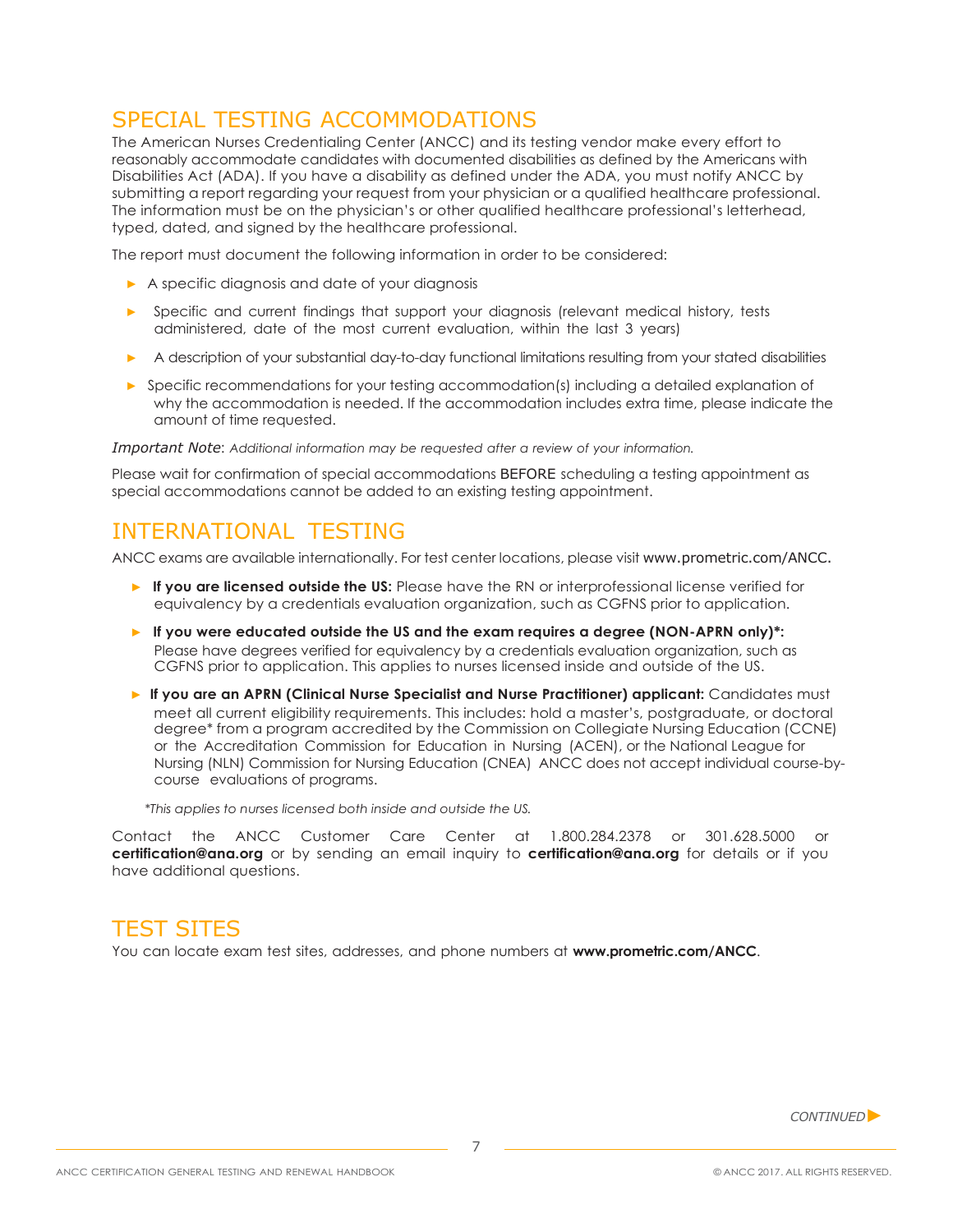# <span id="page-6-0"></span>SPECIAL TESTING ACCOMMODATIONS

The American Nurses Credentialing Center (ANCC) and its testing vendor make every effort to reasonably accommodate candidates with documented disabilities as defined by the Americans with Disabilities Act (ADA). If you have a disability as defined under the ADA, you must notify ANCC by submitting a report regarding your request from your physician or a qualified healthcare professional. The information must be on the physician's or other qualified healthcare professional's letterhead, typed, dated, and signed by the healthcare professional.

The report must document the following information in order to be considered:

- ▶ A specific diagnosis and date of your diagnosis
- ▶ Specific and current findings that support your diagnosis (relevant medical history, tests administered, date of the most current evaluation, within the last 3 years)
- ▶ A description of your substantial day-to-day functional limitations resulting from your stated disabilities
- ▶ Specific recommendations for your testing accommodation(s) including a detailed explanation of why the accommodation is needed. If the accommodation includes extra time, please indicate the amount of time requested.

*Important Note*: *Additional information may be requested after a review of your information.*

Please wait for confirmation of special accommodations BEFORE scheduling a testing appointment as special accommodations cannot be added to an existing testing appointment.

### <span id="page-6-1"></span>INTERNATIONAL TESTING

ANCC exams are available internationally. For test center locations, please visit [www.prometric.com/ANCC.](http://www.prometric.com/ANCC)

- **▶ If you are licensed outside the US:** Please have the RN or interprofessional license verified for equivalency by a credentials evaluation organization, such as CGFNS prior to application.
- ▶ If you were educated outside the US and the exam requires a degree (NON-APRN only)\*: Please have degrees verified for equivalency by a credentials evaluation organization, such as CGFNS prior to application. This applies to nurses licensed inside and outside of the US.
- ▶ **If you are an APRN (Clinical Nurse Specialist and Nurse Practitioner) applicant:** Candidates must meet all current eligibility requirements. This includes: hold a master's, postgraduate, or doctoral degree\* from a program accredited by the Commission on Collegiate Nursing Education (CCNE) or the Accreditation Commission for Education in Nursing (ACEN), or the National League for Nursing (NLN) Commission for Nursing Education (CNEA) ANCC does not accept individual course-bycourse evaluations of programs.

*\*This applies to nurses licensed both inside and outside the US.*

Contact the ANCC Customer Care Center at 1.800.284.2378 or 301.628.5000 or **[certification@ana.org](mailto:certification@ana.org)** or by sending an email inquiry to **[certification@ana.org](mailto:certification@ana.org)** for details or if you have additional questions.

### <span id="page-6-2"></span>TEST SITES

You can locate exam test sites, addresses, and phone numbers at **[www.prometric.com/ANCC](http://www.prometric.com/ANCC)**.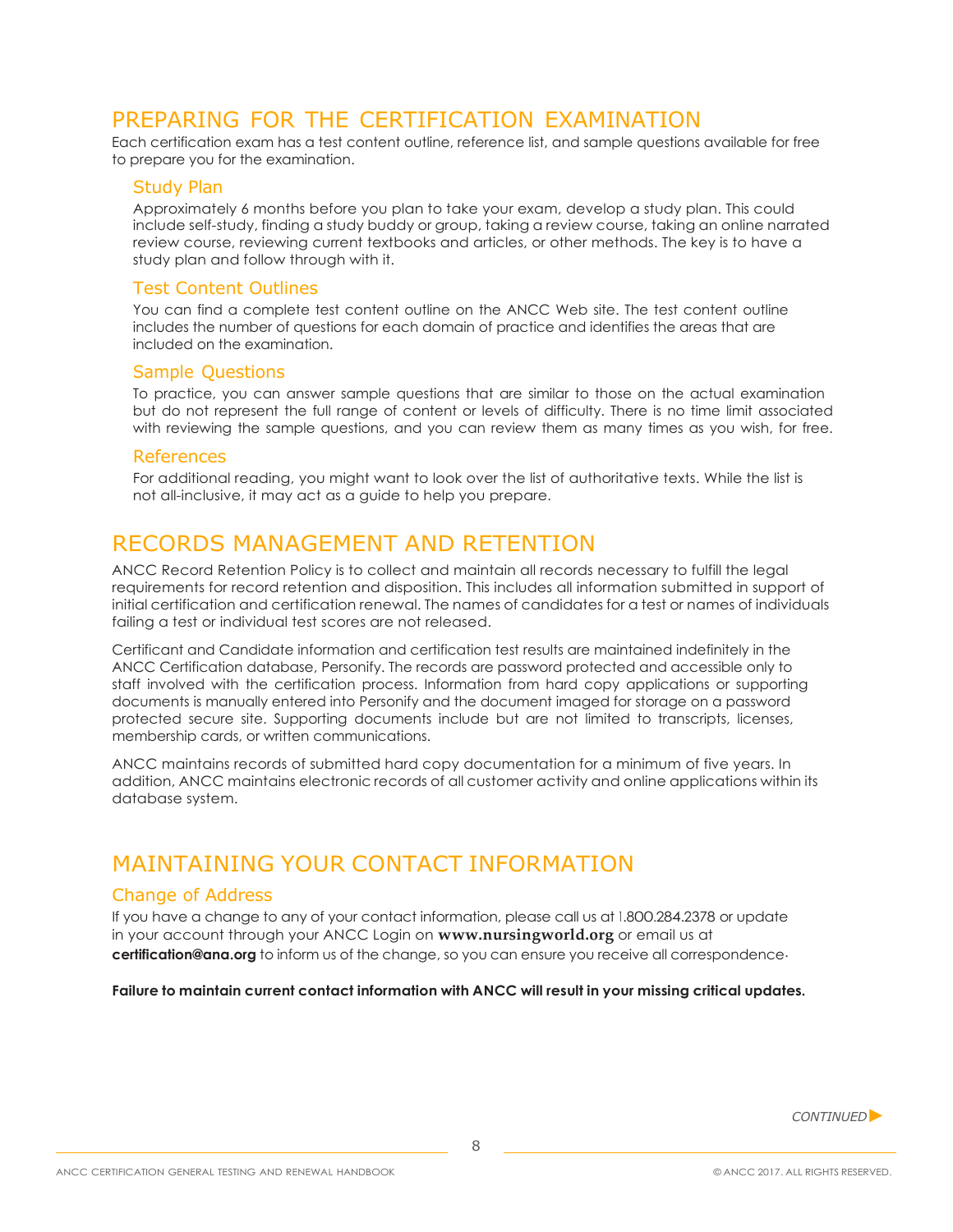# <span id="page-7-0"></span>PREPARING FOR THE CERTIFICATION EXAMINATION

<span id="page-7-1"></span>Each certification exam has a test content outline, reference list, and sample questions available for free to prepare you for the examination.

#### Study Plan

Approximately 6 months before you plan to take your exam, develop a study plan. This could include self-study, finding a study buddy or group, taking a review course, taking an online narrated review course, reviewing current textbooks and articles, or other methods. The key is to have a study plan and follow through with it.

#### Test Content Outlines

You can find a complete test content outline on the ANCC Web site. The test content outline includes the number of questions for each domain of practice and identifies the areas that are included on the examination.

### Sample Questions

To practice, you can answer sample questions that are similar to those on the actual examination but do not represent the full range of content or levels of difficulty. There is no time limit associated with reviewing the sample questions, and you can review them as many times as you wish, for free.

#### References

For additional reading, you might want to look over the list of authoritative texts. While the list is not all-inclusive, it may act as a guide to help you prepare.

### <span id="page-7-2"></span>RECORDS MANAGEMENT AND RETENTION

ANCC Record Retention Policy is to collect and maintain all records necessary to fulfill the legal requirements for record retention and disposition. This includes all information submitted in support of initial certification and certification renewal. The names of candidates for a test or names of individuals failing a test or individual test scores are not released.

Certificant and Candidate information and certification test results are maintained indefinitely in the ANCC Certification database, Personify. The records are password protected and accessible only to staff involved with the certification process. Information from hard copy applications or supporting documents is manually entered into Personify and the document imaged for storage on a password protected secure site. Supporting documents include but are not limited to transcripts, licenses, membership cards, or written communications.

ANCC maintains records of submitted hard copy documentation for a minimum of five years. In addition, ANCC maintains electronic records of all customer activity and online applications within its database system.

# <span id="page-7-3"></span>MAINTAINING YOUR CONTACT INFORMATION

### Change of Address

If you have a change to any of your contact information, please call us at 1.800.284.2378 or update in your account through your ANCC Login on **[www.nursingworld.org](http://www.nursingworld.org/)** or email us at **[certification@ana.org](mailto:certification@ana.org)** to inform us of the change, so you can ensure you receive all correspondence.

**Failure to maintain current contact information with ANCC will result in your missing critical updates.**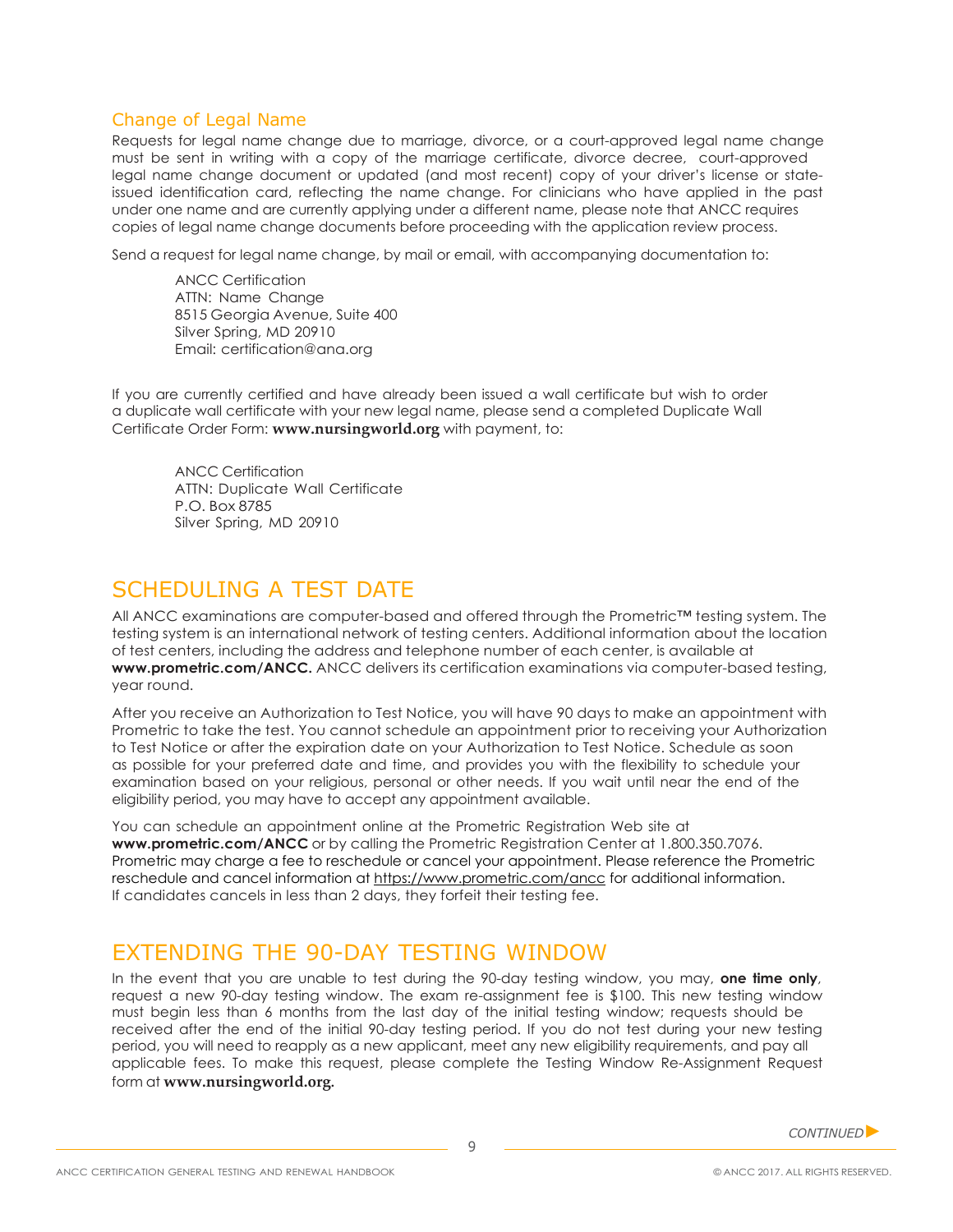### Change of Legal Name

Requests for legal name change due to marriage, divorce, or a court-approved legal name change must be sent in writing with a copy of the marriage certificate, divorce decree, court-approved legal name change document or updated (and most recent) copy of your driver's license or stateissued identification card, reflecting the name change. For clinicians who have applied in the past under one name and are currently applying under a different name, please note that ANCC requires copies of legal name change documents before proceeding with the application review process.

Send a request for legal name change, by mail or email, with accompanying documentation to:

ANCC Certification ATTN: Name Change 8515 Georgia Avenue, Suite 400 Silver Spring, MD 20910 Email: [certification@ana.org](mailto:certification@ana.org)

If you are currently certified and have already been issued a wall certificate but wish to order a duplicate wall certificate with your new legal name, please send a completed Duplicate Wall Certificate Order Form: **[www.nursingworld.org](http://www.nursingworld.org/)** with payment, to:

ANCC Certification ATTN: Duplicate Wall Certificate P.O. Box 8785 Silver Spring, MD 20910

# <span id="page-8-0"></span>SCHEDULING A TEST DATE

All ANCC examinations are computer-based and offered through the Prometric™ testing system. The testing system is an international network of testing centers. Additional information about the location of test centers, including the address and telephone number of each center, is available at **[www.prometric.com/ANCC.](http://www.prometric.com/ANCC)** ANCC delivers its certification examinations via computer-based testing, year round.

After you receive an Authorization to Test Notice, you will have 90 days to make an appointment with Prometric to take the test. You cannot schedule an appointment prior to receiving your Authorization to Test Notice or after the expiration date on your Authorization to Test Notice. Schedule as soon as possible for your preferred date and time, and provides you with the flexibility to schedule your examination based on your religious, personal or other needs. If you wait until near the end of the eligibility period, you may have to accept any appointment available.

You can schedule an appointment online at the Prometric Registration Web site at **[www.prometric.com/ANCC](http://www.prometric.com/ANCC)** or by calling the Prometric Registration Center at 1.800.350.7076. Prometric may charge a fee to reschedule or cancel your appointment. Please reference the Prometric reschedule and cancel information a[t https://www.prometric.com/ancc](https://www.prometric.com/ancc) for additional information. If candidates cancels in less than 2 days, they forfeit their testing fee.

# EXTENDING THE 90-DAY TESTING WINDOW

In the event that you are unable to test during the 90-day testing window, you may, **one time only**, request a new 90-day testing window. The exam re-assignment fee is \$100. This new testing window must begin less than 6 months from the last day of the initial testing window; requests should be received after the end of the initial 90-day testing period. If you do not test during your new testing period, you will need to reapply as a new applicant, meet any new eligibility requirements, and pay all applicable fees. To make this request, please complete the Testing Window Re-Assignment Request form at **[www.nursingworld.org.](http://www.nursingworld.org/)**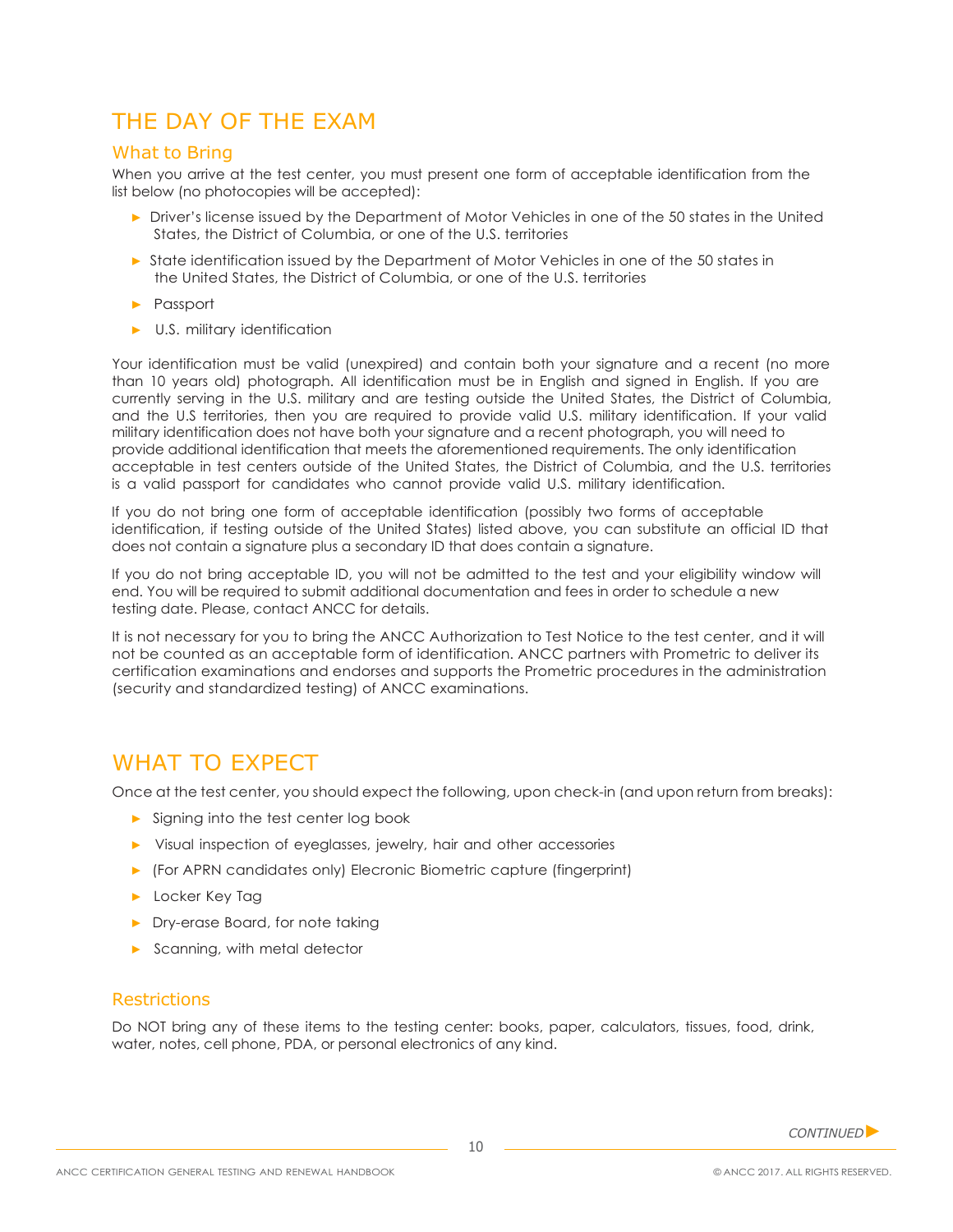# <span id="page-9-0"></span>THE DAY OF THE EXAM

### What to Bring

When you arrive at the test center, you must present one form of acceptable identification from the list below (no photocopies will be accepted):

- ▶ Driver's license issued by the Department of Motor Vehicles in one of the 50 states in the United States, the District of Columbia, or one of the U.S. territories
- ▶ State identification issued by the Department of Motor Vehicles in one of the 50 states in the United States, the District of Columbia, or one of the U.S. territories
- ▶ Passport
- ▶ U.S. military identification

Your identification must be valid (unexpired) and contain both your signature and a recent (no more than 10 years old) photograph. All identification must be in English and signed in English. If you are currently serving in the U.S. military and are testing outside the United States, the District of Columbia, and the U.S territories, then you are required to provide valid U.S. military identification. If your valid military identification does not have both your signature and a recent photograph, you will need to provide additional identification that meets the aforementioned requirements. The only identification acceptable in test centers outside of the United States, the District of Columbia, and the U.S. territories is a valid passport for candidates who cannot provide valid U.S. military identification.

If you do not bring one form of acceptable identification (possibly two forms of acceptable identification, if testing outside of the United States) listed above, you can substitute an official ID that does not contain a signature plus a secondary ID that does contain a signature.

If you do not bring acceptable ID, you will not be admitted to the test and your eligibility window will end. You will be required to submit additional documentation and fees in order to schedule a new testing date. Please, contact ANCC for details.

It is not necessary for you to bring the ANCC Authorization to Test Notice to the test center, and it will not be counted as an acceptable form of identification. ANCC partners with Prometric to deliver its certification examinations and endorses and supports the Prometric procedures in the administration (security and standardized testing) of ANCC examinations.

# WHAT TO EXPECT

Once at the test center, you should expect the following, upon check-in (and upon return from breaks):

- ▶ Signing into the test center log book
- ▶ Visual inspection of eyeglasses, jewelry, hair and other accessories
- ▶ (For APRN candidates only) Elecronic Biometric capture (fingerprint)
- ▶ Locker Key Tag
- ▶ Dry-erase Board, for note taking
- ▶ Scanning, with metal detector

#### **Restrictions**

Do NOT bring any of these items to the testing center: books, paper, calculators, tissues, food, drink, water, notes, cell phone, PDA, or personal electronics of any kind.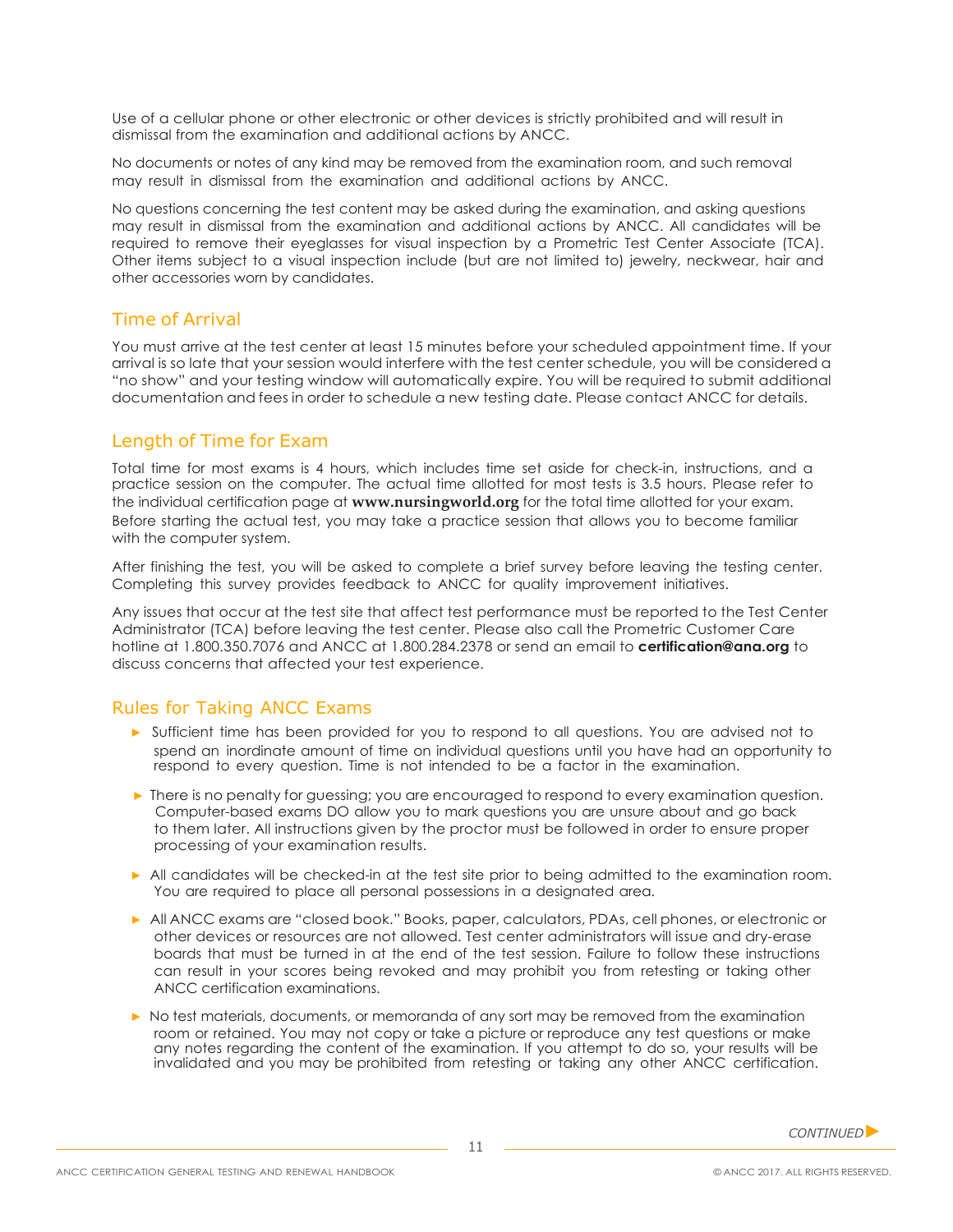Use of a cellular phone or other electronic or other devices is strictly prohibited and will result in dismissal from the examination and additional actions by ANCC.

No documents or notes of any kind may be removed from the examination room, and such removal may result in dismissal from the examination and additional actions by ANCC.

No questions concerning the test content may be asked during the examination, and asking questions may result in dismissal from the examination and additional actions by ANCC. All candidates will be required to remove their eyeglasses for visual inspection by a Prometric Test Center Associate (TCA). Other items subject to a visual inspection include (but are not limited to) jewelry, neckwear, hair and other accessories worn by candidates.

### Time of Arrival

You must arrive at the test center at least 15 minutes before your scheduled appointment time. If your arrival is so late that your session would interfere with the test center schedule, you will be considered a "no show" and your testing window will automatically expire. You will be required to submit additional documentation and fees in order to schedule a new testing date. Please contact ANCC for details.

### Length of Time for Exam

Total time for most exams is 4 hours, which includes time set aside for check-in, instructions, and a practice session on the computer. The actual time allotted for most tests is 3.5 hours. Please refer to the individual certification page at **[www.nursingworld.org](http://www.nursingworld.org/)** for the total time allotted for your exam. Before starting the actual test, you may take a practice session that allows you to become familiar with the computer system.

After finishing the test, you will be asked to complete a brief survey before leaving the testing center. Completing this survey provides feedback to ANCC for quality improvement initiatives.

Any issues that occur at the test site that affect test performance must be reported to the Test Center Administrator (TCA) before leaving the test center. Please also call the Prometric Customer Care hotline at 1.800.350.7076 and ANCC at 1.800.284.2378 or send an email to **[certification@ana.org](mailto:certification@ana.org)** to discuss concerns that affected your test experience.

### Rules for Taking ANCC Exams

- ▶ Sufficient time has been provided for you to respond to all questions. You are advised not to spend an inordinate amount of time on individual questions until you have had an opportunity to respond to every question. Time is not intended to be a factor in the examination.
- ▶ There is no penalty for guessing; you are encouraged to respond to every examination question. Computer-based exams DO allow you to mark questions you are unsure about and go back to them later. All instructions given by the proctor must be followed in order to ensure proper processing of your examination results.
- ▶ All candidates will be checked-in at the test site prior to being admitted to the examination room. You are required to place all personal possessions in a designated area.
- ▶ All ANCC exams are "closed book." Books, paper, calculators, PDAs, cell phones, or electronic or other devices or resources are not allowed. Test center administrators will issue and dry-erase boards that must be turned in at the end of the test session. Failure to follow these instructions can result in your scores being revoked and may prohibit you from retesting or taking other ANCC certification examinations.
- ▶ No test materials, documents, or memoranda of any sort may be removed from the examination room or retained. You may not copy or take a picture or reproduce any test questions or make any notes regarding the content of the examination. If you attempt to do so, your results will be invalidated and you may be prohibited from retesting or taking any other ANCC certification.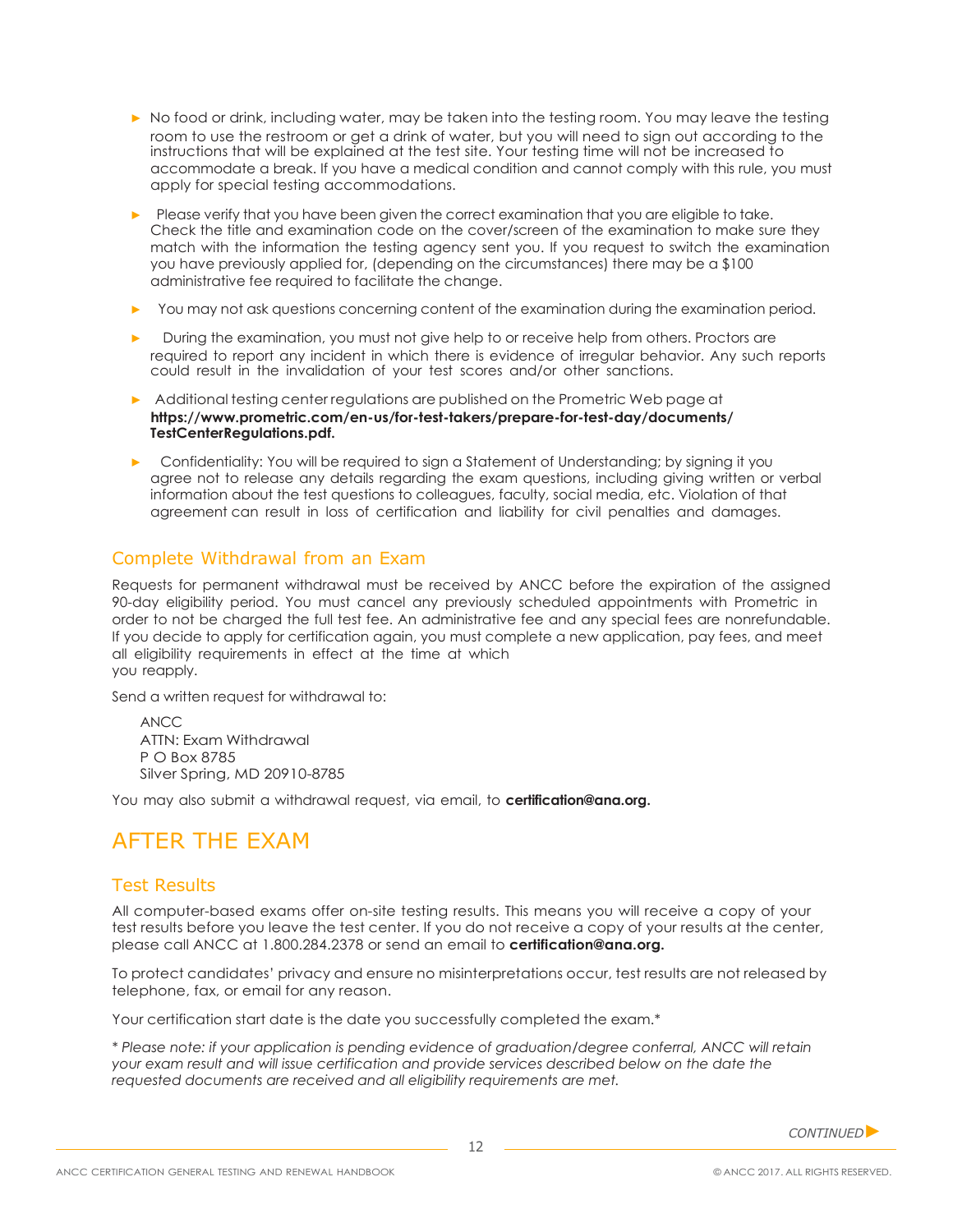- ▶ No food or drink, including water, may be taken into the testing room. You may leave the testing room to use the restroom or get a drink of water, but you will need to sign out according to the instructions that will be explained at the test site. Your testing time will not be increased to accommodate a break. If you have a medical condition and cannot comply with this rule, you must apply for special testing accommodations.
- ▶ Please verify that you have been given the correct examination that you are eligible to take. Check the title and examination code on the cover/screen of the examination to make sure they match with the information the testing agency sent you. If you request to switch the examination you have previously applied for, (depending on the circumstances) there may be a \$100 administrative fee required to facilitate the change.
- ▶ You may not ask questions concerning content of the examination during the examination period.
- ▶ During the examination, you must not give help to or receive help from others. Proctors are required to report any incident in which there is evidence of irregular behavior. Any such reports could result in the invalidation of your test scores and/or other sanctions.
- ▶ Additional testing center regulations are published on the Prometric Web page at **[https://www.prometric.com/en-us/for-test-takers/prepare-for-test-day/documents/](https://www.prometric.com/en-us/for-test-takers/prepare-for-test-day/documents/TestCenterRegulations.pdf) [TestCenterRegulations.pdf.](https://www.prometric.com/en-us/for-test-takers/prepare-for-test-day/documents/TestCenterRegulations.pdf)**
- ▶ Confidentiality: You will be required to sign a Statement of Understanding; by signing it you agree not to release any details regarding the exam questions, including giving written or verbal information about the test questions to colleagues, faculty, social media, etc. Violation of that agreement can result in loss of certification and liability for civil penalties and damages.

### Complete Withdrawal from an Exam

Requests for permanent withdrawal must be received by ANCC before the expiration of the assigned 90-day eligibility period. You must cancel any previously scheduled appointments with Prometric in order to not be charged the full test fee. An administrative fee and any special fees are nonrefundable. If you decide to apply for certification again, you must complete a new application, pay fees, and meet all eligibility requirements in effect at the time at which you reapply.

Send a written request for withdrawal to:

ANCC ATTN: Exam Withdrawal P O Box 8785 Silver Spring, MD 20910-8785

You may also submit a withdrawal request, via email, to **[certification@ana.org.](mailto:certification@ana.org)**

# AFTER THE EXAM

### Test Results

All computer-based exams offer on-site testing results. This means you will receive a copy of your test results before you leave the test center. If you do not receive a copy of your results at the center, please call ANCC at 1.800.284.2378 or send an email to **[certification@ana.org.](mailto:certification@ana.org)**

To protect candidates' privacy and ensure no misinterpretations occur, test results are not released by telephone, fax, or email for any reason.

Your certification start date is the date you successfully completed the exam.\*

*\* Please note: if your application is pending evidence of graduation/degree conferral, ANCC will retain your exam result and will issue certification and provide services described below on the date the requested documents are received and all eligibility requirements are met.*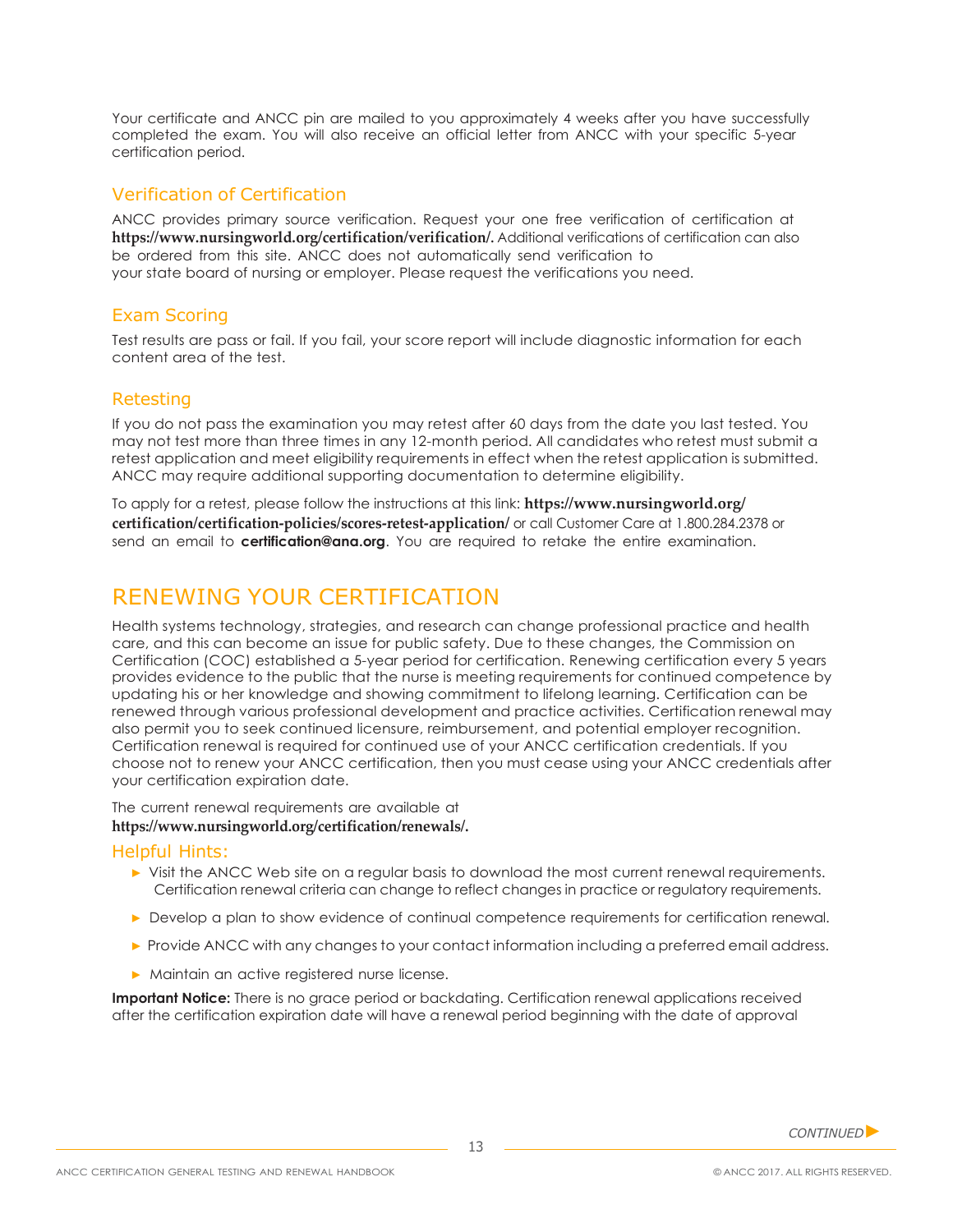Your certificate and ANCC pin are mailed to you approximately 4 weeks after you have successfully completed the exam. You will also receive an official letter from ANCC with your specific 5-year certification period.

### Verification of Certification

ANCC provides primary source verification. Request your one free verification of certification at **[https://www.nursingworld.org/certification/verification/.](https://www.nursingworld.org/certification/verification/)** Additional verifications of certification can also be ordered from this site. ANCC does not automatically send verification to your state board of nursing or employer. Please request the verifications you need.

### Exam Scoring

Test results are pass or fail. If you fail, your score report will include diagnostic information for each content area of the test.

### Retesting

If you do not pass the examination you may retest after 60 days from the date you last tested. You may not test more than three times in any 12-month period. All candidates who retest must submit a retest application and meet eligibility requirements in effect when the retest application is submitted. ANCC may require additional supporting documentation to determine eligibility.

[To apply for a retest, please follow the instructions at this link:](https://www.nursingworld.org/certification/certification-policies/scores-retest-application/) **[https://www.nursingworld.org/](https://www.nursingworld.org/certification/certification-policies/scores-retest-application/)  [certification/certification-policies/scores-retest-application/](https://www.nursingworld.org/certification/certification-policies/scores-retest-application/)** or call Customer Care at 1.800.284.2378 or send an email to **[certification@ana.org](mailto:certification@ana.org)**. You are required to retake the entire examination.

# RENEWING YOUR CERTIFICATION

Health systems technology, strategies, and research can change professional practice and health care, and this can become an issue for public safety. Due to these changes, the Commission on Certification (COC) established a 5-year period for certification. Renewing certification every 5 years provides evidence to the public that the nurse is meeting requirements for continued competence by updating his or her knowledge and showing commitment to lifelong learning. Certification can be renewed through various professional development and practice activities. Certification renewal may also permit you to seek continued licensure, reimbursement, and potential employer recognition. Certification renewal is required for continued use of your ANCC certification credentials. If you choose not to renew your ANCC certification, then you must cease using your ANCC credentials after your certification expiration date.

The current renewal requirements are available at **[https://www.nursingworld.org/certification/renewals/.](https://www.nursingworld.org/certification/renewals/)**

#### Helpful Hints:

- ▶ Visit the ANCC Web site on a regular basis to download the most current renewal requirements. Certification renewal criteria can change to reflect changes in practice or regulatory requirements.
- ▶ Develop a plan to show evidence of continual competence requirements for certification renewal.
- ▶ Provide ANCC with any changes to your contact information including a preferred email address.
- ▶ Maintain an active registered nurse license.

**Important Notice:** There is no grace period or backdating. Certification renewal applications received after the certification expiration date will have a renewal period beginning with the date of approval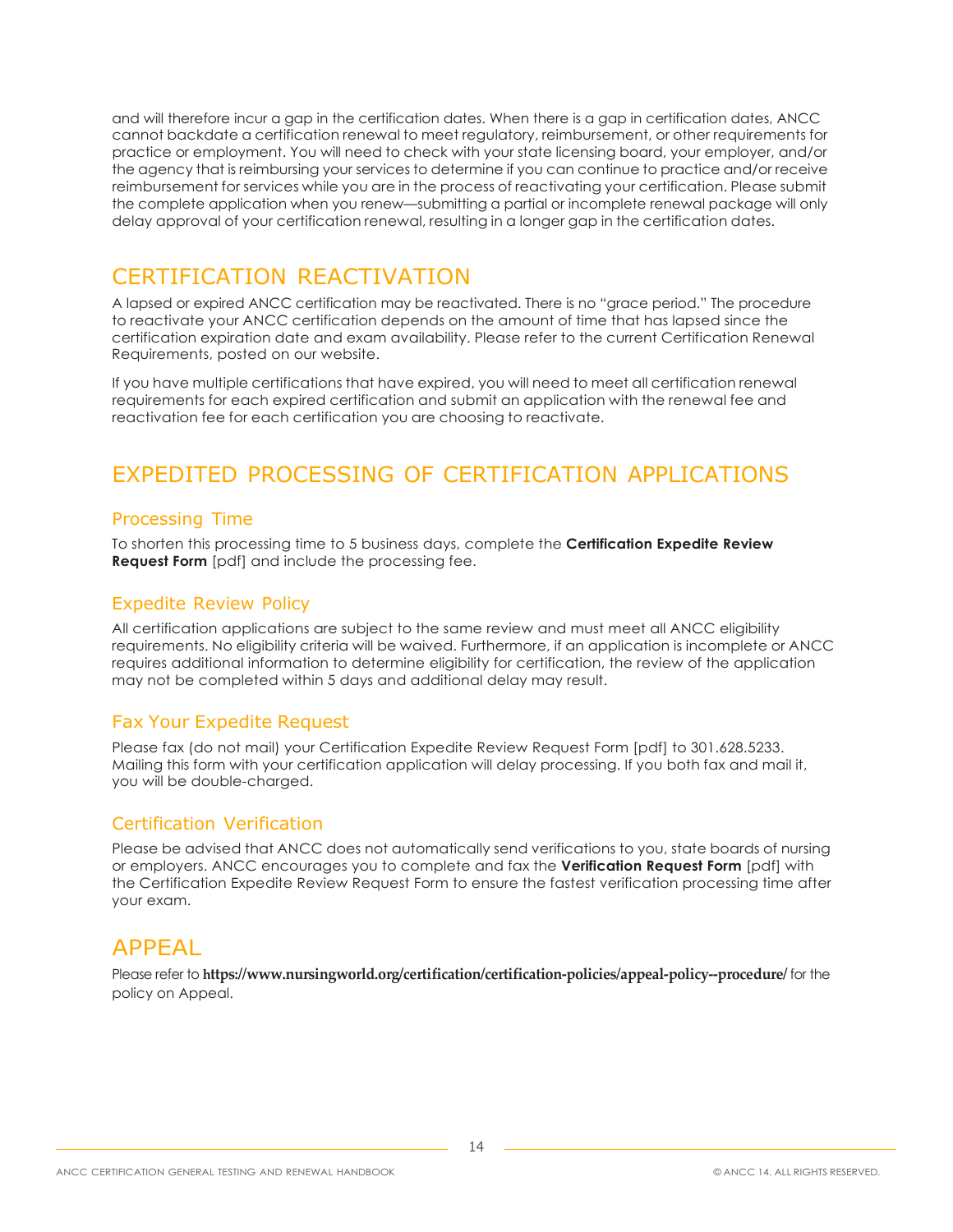and will therefore incur a gap in the certification dates. When there is a gap in certification dates, ANCC cannot backdate a certification renewal to meet regulatory, reimbursement, or other requirements for practice or employment. You will need to check with your state licensing board, your employer, and/or the agency that is reimbursing your services to determine if you can continue to practice and/or receive reimbursement for services while you are in the process of reactivating your certification. Please submit the complete application when you renew—submitting a partial or incomplete renewal package will only delay approval of your certification renewal, resulting in a longer gap in the certification dates.

# CERTIFICATION REACTIVATION

A lapsed or expired ANCC certification may be reactivated. There is no "grace period." The procedure to reactivate your ANCC certification depends on the amount of time that has lapsed since the certification expiration date and exam availability. Please refer to the current Certification Renewal Requirements, posted on our website.

If you have multiple certifications that have expired, you will need to meet all certification renewal requirements for each expired certification and submit an application with the renewal fee and reactivation fee for each certification you are choosing to reactivate.

# EXPEDITED PROCESSING OF CERTIFICATION APPLICATIONS

### Processing Time

[To shorten this processing time to 5 business days, complete the](https://www.nursingworld.org/%7E4aae13/globalassets/certification/certification-policies/ancc-expediteform2012-draft-3-final.pdf) **Certification Expedite Review Request Form** [\[pdf\] and include the processing fee.](https://www.nursingworld.org/%7E4aae13/globalassets/certification/certification-policies/ancc-expediteform2012-draft-3-final.pdf)

### Expedite Review Policy

All certification applications are subject to the same review and must meet all ANCC eligibility requirements. No eligibility criteria will be waived. Furthermore, if an application is incomplete or ANCC requires additional information to determine eligibility for certification, the review of the application may not be completed within 5 days and additional delay may result.

### Fax Your Expedite Request

Please fax (do not mail) your Certification Expedite Review Request Form [pdf] to 301.628.5233. Mailing this form with your certification application will delay processing. If you both fax and mail it, you will be double-charged.

### Certification Verification

Please be advised that ANCC does not automatically send verifications to you, state boards of nursing or employers. ANCC encourages you to complete and fax the **[Verification Request Form](https://www.nursingworld.org/%7E48efb6/globalassets/certification/certification-policies/certificationverificationform.pdf)** [pdf] with the Certification Expedite Review Request Form to ensure the fastest verification processing time after your exam.

# APPEAL

Please refer to **<https://www.nursingworld.org/certification/certification-policies/appeal-policy--procedure/>** for the policy on Appeal.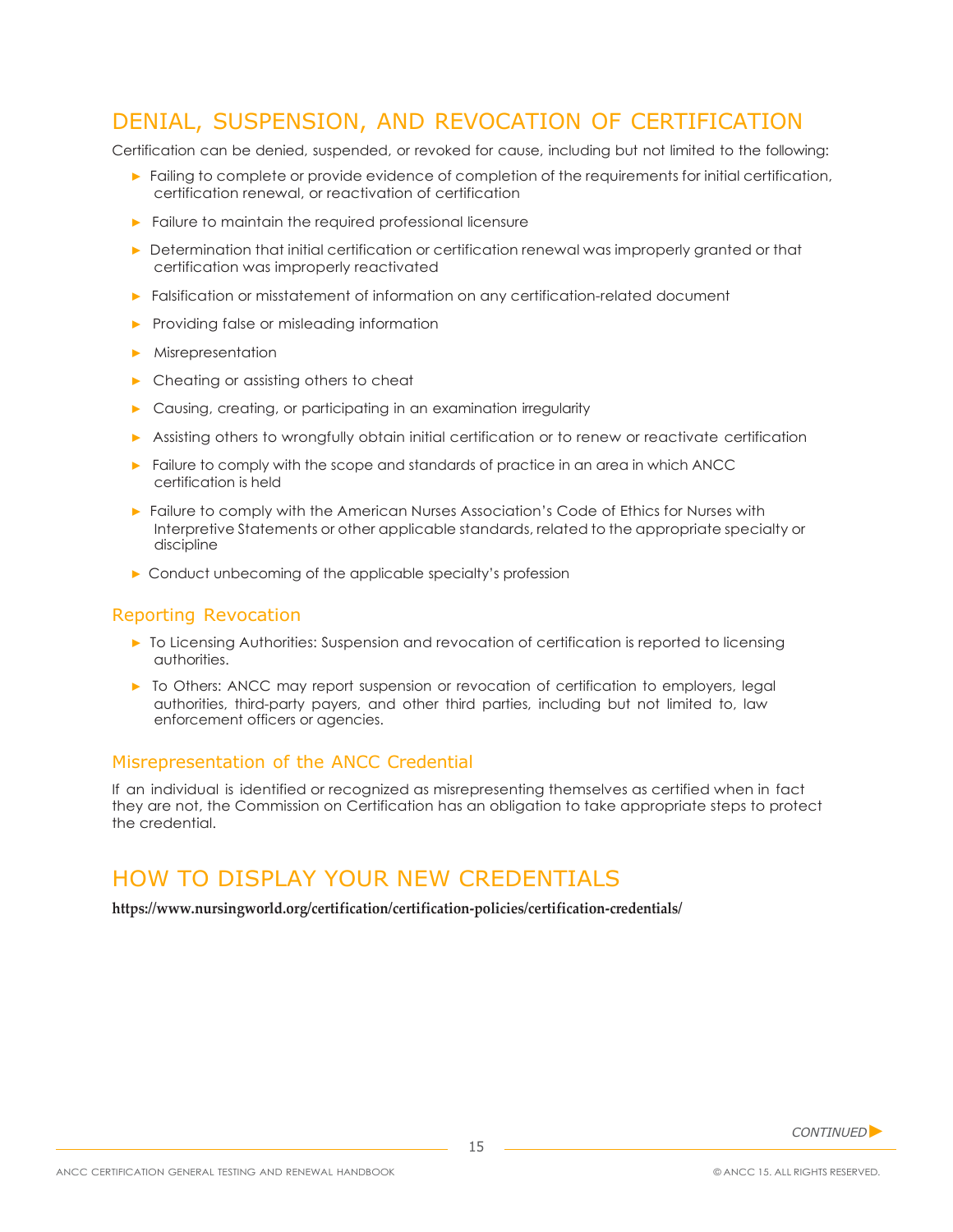# DENIAL, SUSPENSION, AND REVOCATION OF CERTIFICATION

Certification can be denied, suspended, or revoked for cause, including but not limited to the following:

- ▶ Failing to complete or provide evidence of completion of the requirements for initial certification, certification renewal, or reactivation of certification
- ▶ Failure to maintain the required professional licensure
- ▶ Determination that initial certification or certification renewal was improperly granted or that certification was improperly reactivated
- ▶ Falsification or misstatement of information on any certification-related document
- ▶ Providing false or misleading information
- ▶ Misrepresentation
- ▶ Cheating or assisting others to cheat
- ▶ Causing, creating, or participating in an examination irregularity
- ▶ Assisting others to wrongfully obtain initial certification or to renew or reactivate certification
- ▶ Failure to comply with the scope and standards of practice in an area in which ANCC certification is held
- ▶ Failure to comply with the American Nurses Association's Code of Ethics for Nurses with Interpretive Statements or other applicable standards, related to the appropriate specialty or discipline
- ▶ Conduct unbecoming of the applicable specialty's profession

#### Reporting Revocation

- ▶ To Licensing Authorities: Suspension and revocation of certification is reported to licensing authorities.
- ▶ To Others: ANCC may report suspension or revocation of certification to employers, legal authorities, third-party payers, and other third parties, including but not limited to, law enforcement officers or agencies.

#### Misrepresentation of the ANCC Credential

If an individual is identified or recognized as misrepresenting themselves as certified when in fact they are not, the Commission on Certification has an obligation to take appropriate steps to protect the credential.

### HOW TO DISPLAY YOUR NEW CREDENTIALS

**<https://www.nursingworld.org/certification/certification-policies/certification-credentials/>**